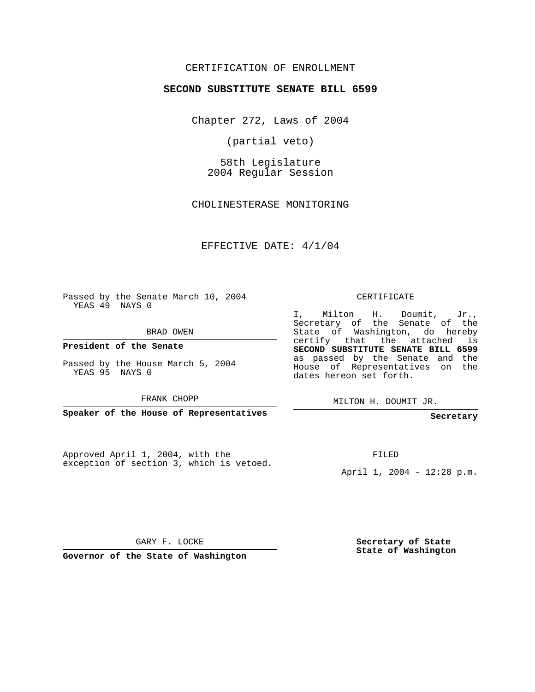## CERTIFICATION OF ENROLLMENT

### **SECOND SUBSTITUTE SENATE BILL 6599**

Chapter 272, Laws of 2004

(partial veto)

58th Legislature 2004 Regular Session

CHOLINESTERASE MONITORING

EFFECTIVE DATE: 4/1/04

Passed by the Senate March 10, 2004 YEAS 49 NAYS 0

BRAD OWEN

**President of the Senate**

Passed by the House March 5, 2004 YEAS 95 NAYS 0

FRANK CHOPP

**Speaker of the House of Representatives**

Approved April 1, 2004, with the exception of section 3, which is vetoed.

#### CERTIFICATE

I, Milton H. Doumit, Jr., Secretary of the Senate of the State of Washington, do hereby certify that the attached is **SECOND SUBSTITUTE SENATE BILL 6599** as passed by the Senate and the House of Representatives on the dates hereon set forth.

MILTON H. DOUMIT JR.

**Secretary**

FILED

April 1, 2004 - 12:28 p.m.

GARY F. LOCKE

**Governor of the State of Washington**

**Secretary of State State of Washington**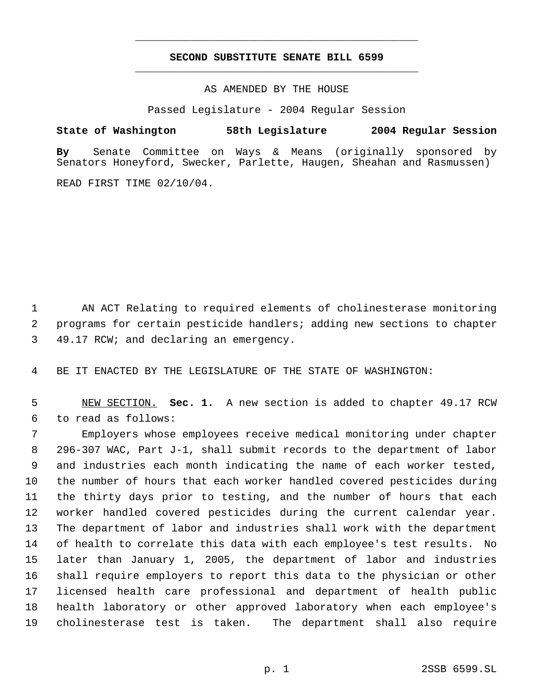# **SECOND SUBSTITUTE SENATE BILL 6599** \_\_\_\_\_\_\_\_\_\_\_\_\_\_\_\_\_\_\_\_\_\_\_\_\_\_\_\_\_\_\_\_\_\_\_\_\_\_\_\_\_\_\_\_\_

\_\_\_\_\_\_\_\_\_\_\_\_\_\_\_\_\_\_\_\_\_\_\_\_\_\_\_\_\_\_\_\_\_\_\_\_\_\_\_\_\_\_\_\_\_

AS AMENDED BY THE HOUSE

Passed Legislature - 2004 Regular Session

### **State of Washington 58th Legislature 2004 Regular Session**

**By** Senate Committee on Ways & Means (originally sponsored by Senators Honeyford, Swecker, Parlette, Haugen, Sheahan and Rasmussen)

READ FIRST TIME 02/10/04.

 AN ACT Relating to required elements of cholinesterase monitoring programs for certain pesticide handlers; adding new sections to chapter 49.17 RCW; and declaring an emergency.

BE IT ENACTED BY THE LEGISLATURE OF THE STATE OF WASHINGTON:

 NEW SECTION. **Sec. 1.** A new section is added to chapter 49.17 RCW to read as follows:

 Employers whose employees receive medical monitoring under chapter 296-307 WAC, Part J-1, shall submit records to the department of labor and industries each month indicating the name of each worker tested, the number of hours that each worker handled covered pesticides during the thirty days prior to testing, and the number of hours that each worker handled covered pesticides during the current calendar year. The department of labor and industries shall work with the department of health to correlate this data with each employee's test results. No later than January 1, 2005, the department of labor and industries shall require employers to report this data to the physician or other licensed health care professional and department of health public health laboratory or other approved laboratory when each employee's cholinesterase test is taken. The department shall also require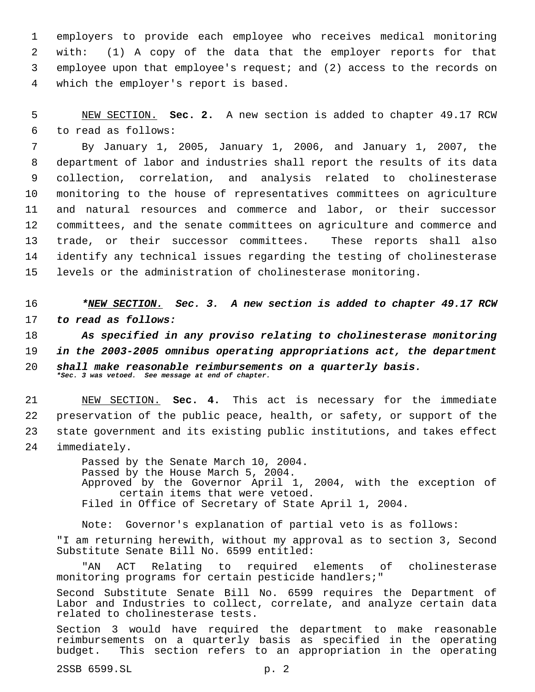employers to provide each employee who receives medical monitoring with: (1) A copy of the data that the employer reports for that employee upon that employee's request; and (2) access to the records on which the employer's report is based.

 5 NEW SECTION. **Sec. 2.** A new section is added to chapter 49.17 RCW 6 to read as follows:

 By January 1, 2005, January 1, 2006, and January 1, 2007, the department of labor and industries shall report the results of its data collection, correlation, and analysis related to cholinesterase monitoring to the house of representatives committees on agriculture and natural resources and commerce and labor, or their successor committees, and the senate committees on agriculture and commerce and trade, or their successor committees. These reports shall also identify any technical issues regarding the testing of cholinesterase levels or the administration of cholinesterase monitoring.

16 *\*NEW SECTION. Sec. 3. A new section is added to chapter 49.17 RCW* 17 *to read as follows:*

 *As specified in any proviso relating to cholinesterase monitoring in the 2003-2005 omnibus operating appropriations act, the department shall make reasonable reimbursements on a quarterly basis. \*Sec. 3 was vetoed. See message at end of chapter.*

 NEW SECTION. **Sec. 4.** This act is necessary for the immediate preservation of the public peace, health, or safety, or support of the state government and its existing public institutions, and takes effect immediately.

> Passed by the Senate March 10, 2004. Passed by the House March 5, 2004. Approved by the Governor April 1, 2004, with the exception of certain items that were vetoed. Filed in Office of Secretary of State April 1, 2004.

Note: Governor's explanation of partial veto is as follows: "I am returning herewith, without my approval as to section 3, Second Substitute Senate Bill No. 6599 entitled:

ACT Relating to required elements of cholinesterase monitoring programs for certain pesticide handlers;"

Second Substitute Senate Bill No. 6599 requires the Department of Labor and Industries to collect, correlate, and analyze certain data related to cholinesterase tests.

Section 3 would have required the department to make reasonable reimbursements on a quarterly basis as specified in the operating budget. This section refers to an appropriation in the operating

2SSB 6599.SL p. 2